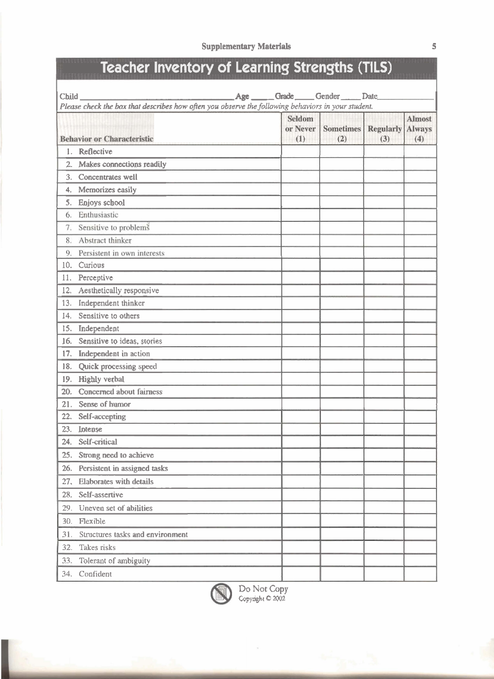# **Teacher Inventory of Learning Strengths (TILS)**

| Child. |                                                                                                    | Age _____Grade ____Gender _____Date |                         |                         |                                       |
|--------|----------------------------------------------------------------------------------------------------|-------------------------------------|-------------------------|-------------------------|---------------------------------------|
|        | Please check the box that describes how often you observe the following behaviors in your student. |                                     |                         |                         |                                       |
|        | <b>Behavior or Characteristic</b>                                                                  | Seldom<br>or Never<br>(1)           | <b>Sometimes</b><br>(2) | <b>Regularly</b><br>(3) | <b>Almost</b><br><b>Always</b><br>(4) |
| 1.     | Reflective                                                                                         |                                     |                         |                         |                                       |
| $2 -$  | Makes connections readily                                                                          |                                     |                         |                         |                                       |
| 3.     | Concentrates well                                                                                  |                                     |                         |                         |                                       |
| 4.     | Memorizes easily                                                                                   |                                     |                         |                         |                                       |
| 5.     | Enjoys school                                                                                      |                                     |                         |                         |                                       |
| 6.     | Enthusiastic                                                                                       |                                     |                         |                         |                                       |
| 7.     | Sensitive to problems                                                                              |                                     |                         |                         |                                       |
| 8.     | Abstract thinker                                                                                   |                                     |                         |                         |                                       |
| 9.     | Persistent in own interests                                                                        |                                     |                         |                         |                                       |
| 10.    | Curious                                                                                            |                                     |                         |                         |                                       |
| 11.    | Perceptive                                                                                         |                                     |                         |                         |                                       |
| 12.    | Aesthetically responsive                                                                           |                                     |                         |                         |                                       |
| 13.    | Independent thinker                                                                                |                                     |                         |                         |                                       |
| 14.    | Sensitive to others                                                                                |                                     |                         |                         |                                       |
| 15.    | Independent                                                                                        |                                     |                         |                         |                                       |
| 16.    | Sensitive to ideas, stories                                                                        |                                     |                         |                         |                                       |
| 17.    | Independent in action                                                                              |                                     |                         |                         |                                       |
| 18.    | Quick processing speed                                                                             |                                     |                         |                         |                                       |
| 19.    | Highly verbal                                                                                      |                                     |                         |                         |                                       |
| 20.    | Concerned about fairness                                                                           |                                     |                         |                         |                                       |
| 21.    | Sense of humor                                                                                     |                                     |                         |                         |                                       |
| 22.    | Self-accepting                                                                                     |                                     |                         |                         |                                       |
| 23.    | Intense                                                                                            |                                     |                         |                         |                                       |
| 24.    | Self-critical                                                                                      |                                     |                         |                         |                                       |
| 25.    | Strong need to achieve                                                                             |                                     |                         |                         |                                       |
| 26.    | Persistent in assigned tasks                                                                       |                                     |                         |                         |                                       |
| 27.    | Elaborates with details                                                                            |                                     |                         |                         |                                       |
| 28.    | Self-assertive                                                                                     |                                     |                         |                         |                                       |
|        | 29. Uneven set of abilities                                                                        |                                     |                         |                         |                                       |
|        | 30. Flexible                                                                                       |                                     |                         |                         |                                       |
| 31.    | Structures tasks and environment                                                                   |                                     |                         |                         |                                       |
| 32.    | Takes risks                                                                                        |                                     |                         |                         |                                       |
| 33.    | Tolerant of ambiguity                                                                              |                                     |                         |                         |                                       |
|        | 34. Confident                                                                                      |                                     |                         |                         |                                       |

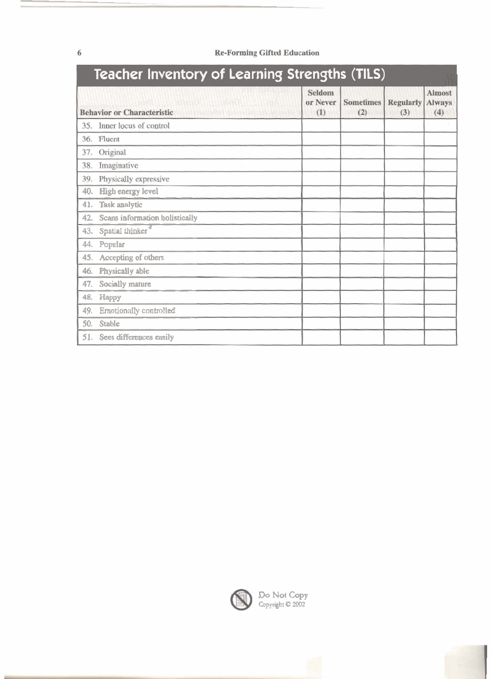| <b>Teacher Inventory of Learning Strengths (TILS)</b> |                                   |                           |                         |                         |                                       |  |  |
|-------------------------------------------------------|-----------------------------------|---------------------------|-------------------------|-------------------------|---------------------------------------|--|--|
|                                                       | <b>Behavior or Characteristic</b> | Seldom<br>or Never<br>(1) | <b>Sometimes</b><br>(2) | <b>Regularly</b><br>(3) | <b>Almost</b><br><b>Always</b><br>(4) |  |  |
|                                                       | 35. Inner locus of control        |                           |                         |                         |                                       |  |  |
|                                                       | 36. Fluent                        |                           |                         |                         |                                       |  |  |
| 37.                                                   | Original                          |                           |                         |                         |                                       |  |  |
| 38.                                                   | Imaginative                       |                           |                         |                         |                                       |  |  |
| 39.                                                   | Physically expressive             |                           |                         |                         |                                       |  |  |
| 40.                                                   | High energy level                 |                           |                         |                         |                                       |  |  |
| 41.                                                   | Task analytic                     |                           |                         |                         |                                       |  |  |
| 42.                                                   | Scans information holistically    |                           |                         |                         |                                       |  |  |
| 43.                                                   | Spatial thinker <sup>®</sup>      |                           |                         |                         |                                       |  |  |
| 44.                                                   | Popular                           |                           |                         |                         |                                       |  |  |
| 45.                                                   | Accepting of others               |                           |                         |                         |                                       |  |  |
| 46.                                                   | Physically able                   |                           |                         |                         |                                       |  |  |
| 47.                                                   | Socially mature                   |                           |                         |                         |                                       |  |  |
| 48.                                                   | Нарру                             |                           |                         |                         |                                       |  |  |
| 49.                                                   | Emotionally controlled            |                           |                         |                         |                                       |  |  |
| 50.                                                   | Stable                            |                           |                         |                         |                                       |  |  |
|                                                       | 51. Sees differences easily       |                           |                         |                         |                                       |  |  |

## **Re-Forming Gifted Education**



Do Not Copy<br>Copyright © 2002



 $\sqrt{6}$